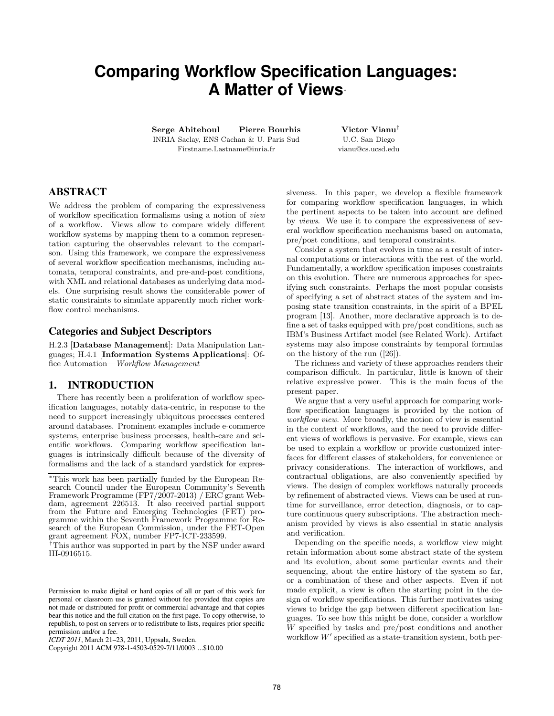# **Comparing Workflow Specification Languages: A Matter of Views**<sup>∗</sup>

Serge Abiteboul Pierre Bourhis INRIA Saclay, ENS Cachan & U. Paris Sud Firstname.Lastname@inria.fr

Victor Vianu† U.C. San Diego vianu@cs.ucsd.edu

# **ABSTRACT**

We address the problem of comparing the expressiveness of workflow specification formalisms using a notion of view of a workflow. Views allow to compare widely different workflow systems by mapping them to a common representation capturing the observables relevant to the comparison. Using this framework, we compare the expressiveness of several workflow specification mechanisms, including automata, temporal constraints, and pre-and-post conditions, with XML and relational databases as underlying data models. One surprising result shows the considerable power of static constraints to simulate apparently much richer workflow control mechanisms.

## **Categories and Subject Descriptors**

H.2.3 [Database Management]: Data Manipulation Languages; H.4.1 [Information Systems Applications]: Office Automation—Workflow Management

# **1. INTRODUCTION**

There has recently been a proliferation of workflow specification languages, notably data-centric, in response to the need to support increasingly ubiquitous processes centered around databases. Prominent examples include e-commerce systems, enterprise business processes, health-care and scientific workflows. Comparing workflow specification languages is intrinsically difficult because of the diversity of formalisms and the lack of a standard yardstick for expres-

†This author was supported in part by the NSF under award III-0916515.

siveness. In this paper, we develop a flexible framework for comparing workflow specification languages, in which the pertinent aspects to be taken into account are defined by views. We use it to compare the expressiveness of several workflow specification mechanisms based on automata, pre/post conditions, and temporal constraints.

Consider a system that evolves in time as a result of internal computations or interactions with the rest of the world. Fundamentally, a workflow specification imposes constraints on this evolution. There are numerous approaches for specifying such constraints. Perhaps the most popular consists of specifying a set of abstract states of the system and imposing state transition constraints, in the spirit of a BPEL program [13]. Another, more declarative approach is to define a set of tasks equipped with pre/post conditions, such as IBM's Business Artifact model (see Related Work). Artifact systems may also impose constraints by temporal formulas on the history of the run ([26]).

The richness and variety of these approaches renders their comparison difficult. In particular, little is known of their relative expressive power. This is the main focus of the present paper.

We argue that a very useful approach for comparing workflow specification languages is provided by the notion of workflow view. More broadly, the notion of view is essential in the context of workflows, and the need to provide different views of workflows is pervasive. For example, views can be used to explain a workflow or provide customized interfaces for different classes of stakeholders, for convenience or privacy considerations. The interaction of workflows, and contractual obligations, are also conveniently specified by views. The design of complex workflows naturally proceeds by refinement of abstracted views. Views can be used at runtime for surveillance, error detection, diagnosis, or to capture continuous query subscriptions. The abstraction mechanism provided by views is also essential in static analysis and verification.

Depending on the specific needs, a workflow view might retain information about some abstract state of the system and its evolution, about some particular events and their sequencing, about the entire history of the system so far, or a combination of these and other aspects. Even if not made explicit, a view is often the starting point in the design of workflow specifications. This further motivates using views to bridge the gap between different specification languages. To see how this might be done, consider a workflow W specified by tasks and pre/post conditions and another workflow W′ specified as a state-transition system, both per-

<sup>∗</sup>This work has been partially funded by the European Research Council under the European Community's Seventh Framework Programme (FP7/2007-2013) / ERC grant Webdam, agreement 226513. It also received partial support from the Future and Emerging Technologies (FET) programme within the Seventh Framework Programme for Research of the European Commission, under the FET-Open grant agreement FOX, number FP7-ICT-233599.

Permission to make digital or hard copies of all or part of this work for personal or classroom use is granted without fee provided that copies are not made or distributed for profit or commercial advantage and that copies bear this notice and the full citation on the first page. To copy otherwise, to republish, to post on servers or to redistribute to lists, requires prior specific permission and/or a fee.

*ICDT 2011*, March 21–23, 2011, Uppsala, Sweden.

Copyright 2011 ACM 978-1-4503-0529-7/11/0003 ...\$10.00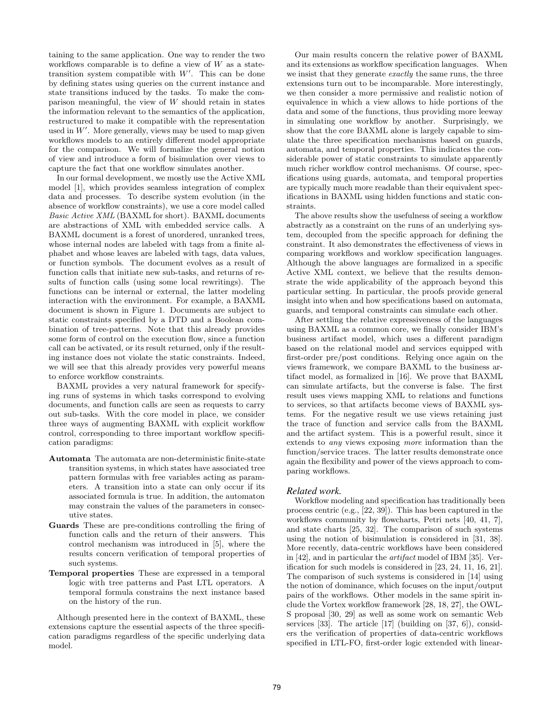taining to the same application. One way to render the two workflows comparable is to define a view of  $W$  as a statetransition system compatible with  $W'$ . This can be done by defining states using queries on the current instance and state transitions induced by the tasks. To make the comparison meaningful, the view of  $W$  should retain in states the information relevant to the semantics of the application, restructured to make it compatible with the representation used in W′ . More generally, views may be used to map given workflows models to an entirely different model appropriate for the comparison. We will formalize the general notion of view and introduce a form of bisimulation over views to capture the fact that one workflow simulates another.

In our formal development, we mostly use the Active XML model [1], which provides seamless integration of complex data and processes. To describe system evolution (in the absence of workflow constraints), we use a core model called Basic Active XML (BAXML for short). BAXML documents are abstractions of XML with embedded service calls. A BAXML document is a forest of unordered, unranked trees, whose internal nodes are labeled with tags from a finite alphabet and whose leaves are labeled with tags, data values, or function symbols. The document evolves as a result of function calls that initiate new sub-tasks, and returns of results of function calls (using some local rewritings). The functions can be internal or external, the latter modeling interaction with the environment. For example, a BAXML document is shown in Figure 1. Documents are subject to static constraints specified by a DTD and a Boolean combination of tree-patterns. Note that this already provides some form of control on the execution flow, since a function call can be activated, or its result returned, only if the resulting instance does not violate the static constraints. Indeed, we will see that this already provides very powerful means to enforce workflow constraints.

BAXML provides a very natural framework for specifying runs of systems in which tasks correspond to evolving documents, and function calls are seen as requests to carry out sub-tasks. With the core model in place, we consider three ways of augmenting BAXML with explicit workflow control, corresponding to three important workflow specification paradigms:

- Automata The automata are non-deterministic finite-state transition systems, in which states have associated tree pattern formulas with free variables acting as parameters. A transition into a state can only occur if its associated formula is true. In addition, the automaton may constrain the values of the parameters in consecutive states.
- Guards These are pre-conditions controlling the firing of function calls and the return of their answers. This control mechanism was introduced in [5], where the results concern verification of temporal properties of such systems.
- Temporal properties These are expressed in a temporal logic with tree patterns and Past LTL operators. A temporal formula constrains the next instance based on the history of the run.

Although presented here in the context of BAXML, these extensions capture the essential aspects of the three specification paradigms regardless of the specific underlying data model.

Our main results concern the relative power of BAXML and its extensions as workflow specification languages. When we insist that they generate *exactly* the same runs, the three extensions turn out to be incomparable. More interestingly, we then consider a more permissive and realistic notion of equivalence in which a view allows to hide portions of the data and some of the functions, thus providing more leeway in simulating one workflow by another. Surprisingly, we show that the core BAXML alone is largely capable to simulate the three specification mechanisms based on guards, automata, and temporal properties. This indicates the considerable power of static constraints to simulate apparently much richer workflow control mechanisms. Of course, specifications using guards, automata, and temporal properties are typically much more readable than their equivalent specifications in BAXML using hidden functions and static constraints.

The above results show the usefulness of seeing a workflow abstractly as a constraint on the runs of an underlying system, decoupled from the specific approach for defining the constraint. It also demonstrates the effectiveness of views in comparing workflows and worklow specification languages. Although the above languages are formalized in a specific Active XML context, we believe that the results demonstrate the wide applicability of the approach beyond this particular setting. In particular, the proofs provide general insight into when and how specifications based on automata, guards, and temporal constraints can simulate each other.

After settling the relative expressiveness of the languages using BAXML as a common core, we finally consider IBM's business artifact model, which uses a different paradigm based on the relational model and services equipped with first-order pre/post conditions. Relying once again on the views framework, we compare BAXML to the business artifact model, as formalized in [16]. We prove that BAXML can simulate artifacts, but the converse is false. The first result uses views mapping XML to relations and functions to services, so that artifacts become views of BAXML systems. For the negative result we use views retaining just the trace of function and service calls from the BAXML and the artifact system. This is a powerful result, since it extends to any views exposing more information than the function/service traces. The latter results demonstrate once again the flexibility and power of the views approach to comparing workflows.

#### *Related work.*

Workflow modeling and specification has traditionally been process centric (e.g., [22, 39]). This has been captured in the workflows community by flowcharts, Petri nets [40, 41, 7], and state charts [25, 32]. The comparison of such systems using the notion of bisimulation is considered in [31, 38]. More recently, data-centric workflows have been considered in [42], and in particular the artifact model of IBM [35]. Verification for such models is considered in [23, 24, 11, 16, 21]. The comparison of such systems is considered in [14] using the notion of dominance, which focuses on the input/output pairs of the workflows. Other models in the same spirit include the Vortex workflow framework [28, 18, 27], the OWL-S proposal [30, 29] as well as some work on semantic Web services [33]. The article [17] (building on [37, 6]), considers the verification of properties of data-centric workflows specified in LTL-FO, first-order logic extended with linear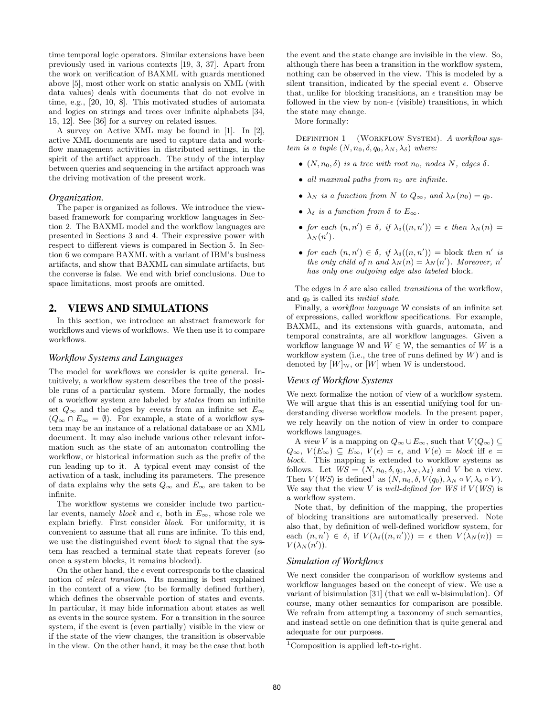time temporal logic operators. Similar extensions have been previously used in various contexts [19, 3, 37]. Apart from the work on verification of BAXML with guards mentioned above [5], most other work on static analysis on XML (with data values) deals with documents that do not evolve in time, e.g., [20, 10, 8]. This motivated studies of automata and logics on strings and trees over infinite alphabets [34, 15, 12]. See [36] for a survey on related issues.

A survey on Active XML may be found in [1]. In [2], active XML documents are used to capture data and workflow management activities in distributed settings, in the spirit of the artifact approach. The study of the interplay between queries and sequencing in the artifact approach was the driving motivation of the present work.

#### *Organization.*

The paper is organized as follows. We introduce the viewbased framework for comparing workflow languages in Section 2. The BAXML model and the workflow languages are presented in Sections 3 and 4. Their expressive power with respect to different views is compared in Section 5. In Section 6 we compare BAXML with a variant of IBM's business artifacts, and show that BAXML can simulate artifacts, but the converse is false. We end with brief conclusions. Due to space limitations, most proofs are omitted.

## **2. VIEWS AND SIMULATIONS**

In this section, we introduce an abstract framework for workflows and views of workflows. We then use it to compare workflows.

## *Workflow Systems and Languages*

The model for workflows we consider is quite general. Intuitively, a workflow system describes the tree of the possible runs of a particular system. More formally, the nodes of a workflow system are labeled by states from an infinite set  $Q_{\infty}$  and the edges by *events* from an infinite set  $E_{\infty}$  $(Q_{\infty} \cap E_{\infty} = \emptyset)$ . For example, a state of a workflow system may be an instance of a relational database or an XML document. It may also include various other relevant information such as the state of an automaton controlling the workflow, or historical information such as the prefix of the run leading up to it. A typical event may consist of the activation of a task, including its parameters. The presence of data explains why the sets  $Q_{\infty}$  and  $E_{\infty}$  are taken to be infinite.

The workflow systems we consider include two particular events, namely *block* and  $\epsilon$ , both in  $E_{\infty}$ , whose role we explain briefly. First consider block. For uniformity, it is convenient to assume that all runs are infinite. To this end, we use the distinguished event block to signal that the system has reached a terminal state that repeats forever (so once a system blocks, it remains blocked).

On the other hand, the  $\epsilon$  event corresponds to the classical notion of silent transition. Its meaning is best explained in the context of a view (to be formally defined further), which defines the observable portion of states and events. In particular, it may hide information about states as well as events in the source system. For a transition in the source system, if the event is (even partially) visible in the view or if the state of the view changes, the transition is observable in the view. On the other hand, it may be the case that both

the event and the state change are invisible in the view. So, although there has been a transition in the workflow system, nothing can be observed in the view. This is modeled by a silent transition, indicated by the special event  $\epsilon$ . Observe that, unlike for blocking transitions, an  $\epsilon$  transition may be followed in the view by non- $\epsilon$  (visible) transitions, in which the state may change.

More formally:

DEFINITION 1 (WORKFLOW SYSTEM). A workflow system is a tuple  $(N, n_0, \delta, q_0, \lambda_N, \lambda_\delta)$  where:

- $(N, n_0, \delta)$  is a tree with root  $n_0$ , nodes N, edges  $\delta$ .
- $\bullet$  all maximal paths from  $n_0$  are infinite.
- $\lambda_N$  is a function from N to  $Q_{\infty}$ , and  $\lambda_N(n_0) = q_0$ .
- $\lambda_{\delta}$  is a function from  $\delta$  to  $E_{\infty}$ .
- for each  $(n, n') \in \delta$ , if  $\lambda_{\delta}((n, n')) = \epsilon$  then  $\lambda_N(n) =$  $\lambda_N(n')$ .
- for each  $(n, n') \in \delta$ , if  $\lambda_{\delta}((n, n')) = \text{block then } n'$  is the only child of n and  $\lambda_N(n) = \lambda_N(n')$ . Moreover, n' has only one outgoing edge also labeled block.

The edges in  $\delta$  are also called *transitions* of the workflow, and  $q_0$  is called its *initial state*.

Finally, a workflow language W consists of an infinite set of expressions, called workflow specifications. For example, BAXML, and its extensions with guards, automata, and temporal constraints, are all workflow languages. Given a workflow language W and  $W \in W$ , the semantics of W is a workflow system (i.e., the tree of runs defined by  $W$ ) and is denoted by  $[W]_W$ , or  $[W]$  when W is understood.

#### *Views of Workflow Systems*

We next formalize the notion of view of a workflow system. We will argue that this is an essential unifying tool for understanding diverse workflow models. In the present paper, we rely heavily on the notion of view in order to compare workflows languages.

A view V is a mapping on  $Q_{\infty} \cup E_{\infty}$ , such that  $V(Q_{\infty}) \subseteq$  $Q_{\infty}$ ,  $V(E_{\infty}) \subseteq E_{\infty}$ ,  $V(\epsilon) = \epsilon$ , and  $V(e) = block$  iff  $e =$ block. This mapping is extended to workflow systems as follows. Let  $WS = (N, n_0, \delta, q_0, \lambda_N, \lambda_\delta)$  and V be a view. Then  $V(WS)$  is defined<sup>1</sup> as  $(N, n_0, \delta, V(q_0), \lambda_N \circ V, \lambda_\delta \circ V)$ . We say that the view V is well-defined for WS if  $V(WS)$  is a workflow system.

Note that, by definition of the mapping, the properties of blocking transitions are automatically preserved. Note also that, by definition of well-defined workflow system, for each  $(n, n') \in \delta$ , if  $V(\lambda_{\delta}((n, n'))) = \epsilon$  then  $V(\lambda_N(n)) =$  $V(\lambda_N(n'))$ .

### *Simulation of Workflows*

We next consider the comparison of workflow systems and workflow languages based on the concept of view. We use a variant of bisimulation [31] (that we call w-bisimulation). Of course, many other semantics for comparison are possible. We refrain from attempting a taxonomy of such semantics, and instead settle on one definition that is quite general and adequate for our purposes.

<sup>&</sup>lt;sup>1</sup>Composition is applied left-to-right.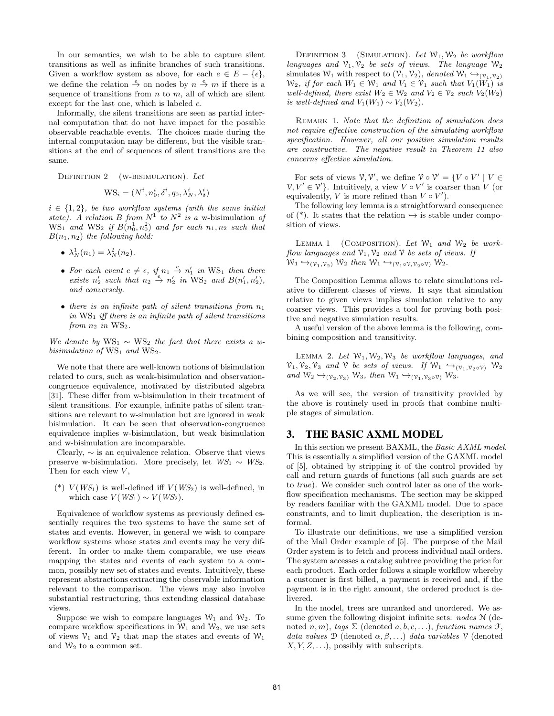In our semantics, we wish to be able to capture silent transitions as well as infinite branches of such transitions. Given a workflow system as above, for each  $e \in E - \{\epsilon\},\$ we define the relation  $\stackrel{e}{\rightarrow}$  on nodes by  $n \stackrel{e}{\rightarrow} m$  if there is a sequence of transitions from  $n$  to  $m$ , all of which are silent except for the last one, which is labeled e.

Informally, the silent transitions are seen as partial internal computation that do not have impact for the possible observable reachable events. The choices made during the internal computation may be different, but the visible transitions at the end of sequences of silent transitions are the same.

DEFINITION 2 (W-BISIMULATION). Let

$$
\text{WS}_i = (N^i, n_0^i, \delta^i, q_0, \lambda_N^i, \lambda_\delta^i)
$$

 $i \in \{1, 2\}$ , be two workflow systems (with the same initial state). A relation B from  $N^1$  to  $N^2$  is a w-bisimulation of  $WS_1$  and  $WS_2$  if  $B(n_0^1, n_0^2)$  and for each  $n_1, n_2$  such that  $B(n_1, n_2)$  the following hold:

- $\lambda_N^1(n_1) = \lambda_N^2(n_2)$ .
- For each event  $e \neq \epsilon$ , if  $n_1 \stackrel{e}{\rightarrow} n'_1$  in WS<sub>1</sub> then there exists  $n'_2$  such that  $n_2 \stackrel{e}{\rightarrow} n'_2$  in  $WS_2$  and  $B(n'_1, n'_2)$ , and conversely.
- there is an infinite path of silent transitions from  $n_1$ in  $WS_1$  iff there is an infinite path of silent transitions from  $n_2$  in  $WS_2$ .

We denote by  $WS_1 \sim WS_2$  the fact that there exists a wbisimulation of  $WS_1$  and  $WS_2$ .

We note that there are well-known notions of bisimulation related to ours, such as weak-bisimulation and observationcongruence equivalence, motivated by distributed algebra [31]. These differ from w-bisimulation in their treatment of silent transitions. For example, infinite paths of silent transitions are relevant to w-simulation but are ignored in weak bisimulation. It can be seen that observation-congruence equivalence implies w-bisimulation, but weak bisimulation and w-bisimulation are incomparable.

Clearly, ∼ is an equivalence relation. Observe that views preserve w-bisimulation. More precisely, let  $WS_1 \sim WS_2$ . Then for each view  $V$ ,

(\*)  $V(WS_1)$  is well-defined iff  $V(WS_2)$  is well-defined, in which case  $V(WS_1) \sim V(WS_2)$ .

Equivalence of workflow systems as previously defined essentially requires the two systems to have the same set of states and events. However, in general we wish to compare workflow systems whose states and events may be very different. In order to make them comparable, we use views mapping the states and events of each system to a common, possibly new set of states and events. Intuitively, these represent abstractions extracting the observable information relevant to the comparison. The views may also involve substantial restructuring, thus extending classical database views.

Suppose we wish to compare languages  $W_1$  and  $W_2$ . To compare workflow specifications in  $W_1$  and  $W_2$ , we use sets of views  $V_1$  and  $V_2$  that map the states and events of  $W_1$ and  $\mathcal{W}_2$  to a common set.

DEFINITION 3 (SIMULATION). Let  $W_1, W_2$  be workflow languages and  $\mathcal{V}_1, \mathcal{V}_2$  be sets of views. The language  $\mathcal{W}_2$ simulates W<sub>1</sub> with respect to  $(\mathcal{V}_1, \mathcal{V}_2)$ , denoted  $\mathcal{W}_1 \hookrightarrow_{(\mathcal{V}_1, \mathcal{V}_2)}$  $W_2$ , if for each  $W_1 \in W_1$  and  $V_1 \in V_1$  such that  $V_1(W_1)$  is well-defined, there exist  $W_2 \in \mathcal{W}_2$  and  $V_2 \in \mathcal{V}_2$  such  $V_2(W_2)$ is well-defined and  $V_1(W_1) \sim V_2(W_2)$ .

REMARK 1. Note that the definition of simulation does not require effective construction of the simulating workflow specification. However, all our positive simulation results are constructive. The negative result in Theorem 11 also concerns effective simulation.

For sets of views  $\mathcal{V}, \mathcal{V}'$ , we define  $\mathcal{V} \circ \mathcal{V}' = \{ V \circ V' \mid V \in$  $V, V' \in V'$ . Intuitively, a view  $V \circ V'$  is coarser than V (or equivalently, V is more refined than  $V \circ V'$ ).

The following key lemma is a straightforward consequence of  $(*)$ . It states that the relation  $\hookrightarrow$  is stable under composition of views.

LEMMA 1 (COMPOSITION). Let  $W_1$  and  $W_2$  be workflow languages and  $\mathcal{V}_1, \mathcal{V}_2$  and  $\mathcal{V}$  be sets of views. If  $W_1 \hookrightarrow_{(\mathcal{V}_1,\mathcal{V}_2)} W_2$  then  $W_1 \hookrightarrow_{(\mathcal{V}_1 \circ \mathcal{V}, \mathcal{V}_2 \circ \mathcal{V})} W_2$ .

The Composition Lemma allows to relate simulations relative to different classes of views. It says that simulation relative to given views implies simulation relative to any coarser views. This provides a tool for proving both positive and negative simulation results.

A useful version of the above lemma is the following, combining composition and transitivity.

LEMMA 2. Let  $W_1, W_2, W_3$  be workflow languages, and  $\mathcal{V}_1, \mathcal{V}_2, \mathcal{V}_3$  and  $\mathcal V$  be sets of views. If  $\mathcal{W}_1 \hookrightarrow_{(\mathcal{V}_1, \mathcal{V}_2 \circ \mathcal{V})} \mathcal{W}_2$ and  $W_2 \hookrightarrow_{(\mathcal{V}_2,\mathcal{V}_3)} W_3$ , then  $W_1 \hookrightarrow_{(\mathcal{V}_1,\mathcal{V}_3 \circ \mathcal{V})} W_3$ .

As we will see, the version of transitivity provided by the above is routinely used in proofs that combine multiple stages of simulation.

## **3. THE BASIC AXML MODEL**

In this section we present BAXML, the Basic AXML model. This is essentially a simplified version of the GAXML model of [5], obtained by stripping it of the control provided by call and return guards of functions (all such guards are set to true). We consider such control later as one of the workflow specification mechanisms. The section may be skipped by readers familiar with the GAXML model. Due to space constraints, and to limit duplication, the description is informal.

To illustrate our definitions, we use a simplified version of the Mail Order example of [5]. The purpose of the Mail Order system is to fetch and process individual mail orders. The system accesses a catalog subtree providing the price for each product. Each order follows a simple workflow whereby a customer is first billed, a payment is received and, if the payment is in the right amount, the ordered product is delivered.

In the model, trees are unranked and unordered. We assume given the following disjoint infinite sets: *nodes* N (denoted n, m), tags  $\Sigma$  (denoted a, b, c, ...), function names  $\mathfrak{F}$ , data values  $\mathcal{D}$  (denoted  $\alpha, \beta, \ldots$ ) data variables  $\mathcal{V}$  (denoted  $X, Y, Z, \ldots$ , possibly with subscripts.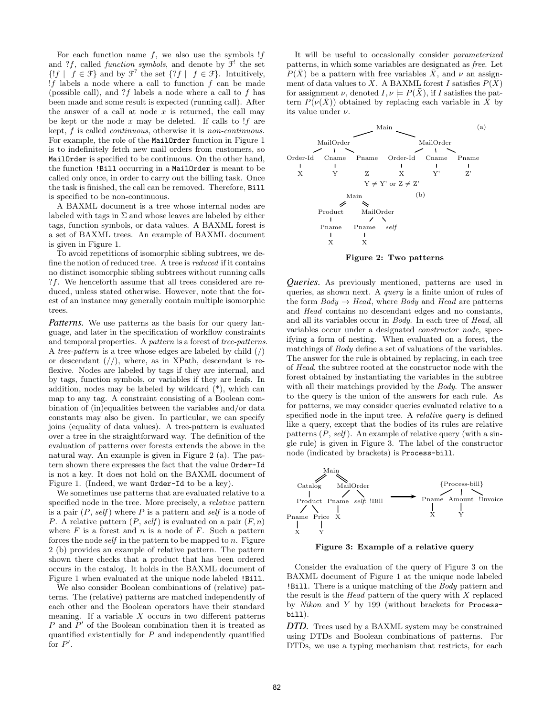For each function name  $f$ , we also use the symbols  $If$ and ?f, called *function symbols*, and denote by  $\mathcal{F}^!$  the set  $\{!f \mid f \in \mathcal{F}\}\$ and by  $\mathcal{F}^?$  the set  $\{?f \mid f \in \mathcal{F}\}\$ . Intuitively,  $!f$  labels a node where a call to function  $f$  can be made (possible call), and ?f labels a node where a call to f has been made and some result is expected (running call). After the answer of a call at node  $x$  is returned, the call may be kept or the node  $x$  may be deleted. If calls to  $!f$  are kept, f is called continuous, otherwise it is non-continuous. For example, the role of the MailOrder function in Figure 1 is to indefinitely fetch new mail orders from customers, so MailOrder is specified to be continuous. On the other hand, the function !Bill occurring in a MailOrder is meant to be called only once, in order to carry out the billing task. Once the task is finished, the call can be removed. Therefore, Bill is specified to be non-continuous.

A BAXML document is a tree whose internal nodes are labeled with tags in  $\Sigma$  and whose leaves are labeled by either tags, function symbols, or data values. A BAXML forest is a set of BAXML trees. An example of BAXML document is given in Figure 1.

To avoid repetitions of isomorphic sibling subtrees, we define the notion of reduced tree. A tree is reduced if it contains no distinct isomorphic sibling subtrees without running calls ?f. We henceforth assume that all trees considered are reduced, unless stated otherwise. However, note that the forest of an instance may generally contain multiple isomorphic trees.

*Patterns.* We use patterns as the basis for our query language, and later in the specification of workflow constraints and temporal properties. A pattern is a forest of tree-patterns. A tree-pattern is a tree whose edges are labeled by child (/) or descendant  $\left(\frac{1}{1}\right)$ , where, as in XPath, descendant is reflexive. Nodes are labeled by tags if they are internal, and by tags, function symbols, or variables if they are leafs. In addition, nodes may be labeled by wildcard (\*), which can map to any tag. A constraint consisting of a Boolean combination of (in)equalities between the variables and/or data constants may also be given. In particular, we can specify joins (equality of data values). A tree-pattern is evaluated over a tree in the straightforward way. The definition of the evaluation of patterns over forests extends the above in the natural way. An example is given in Figure 2 (a). The pattern shown there expresses the fact that the value Order-Id is not a key. It does not hold on the BAXML document of Figure 1. (Indeed, we want Order-Id to be a key).

We sometimes use patterns that are evaluated relative to a specified node in the tree. More precisely, a relative pattern is a pair  $(P, self)$  where P is a pattern and self is a node of P. A relative pattern  $(P, self)$  is evaluated on a pair  $(F, n)$ where  $F$  is a forest and  $n$  is a node of  $F$ . Such a pattern forces the node self in the pattern to be mapped to  $n$ . Figure 2 (b) provides an example of relative pattern. The pattern shown there checks that a product that has been ordered occurs in the catalog. It holds in the BAXML document of Figure 1 when evaluated at the unique node labeled !Bill.

We also consider Boolean combinations of (relative) patterns. The (relative) patterns are matched independently of each other and the Boolean operators have their standard meaning. If a variable  $X$  occurs in two different patterns  $P$  and  $P'$  of the Boolean combination then it is treated as quantified existentially for  $P$  and independently quantified for  $P'$ .

It will be useful to occasionally consider parameterized patterns, in which some variables are designated as free. Let  $P(\bar{X})$  be a pattern with free variables  $\bar{X}$ , and  $\nu$  an assignment of data values to  $\overline{X}$ . A BAXML forest I satisfies  $P(\overline{X})$ for assignment v, denoted  $I, \nu \models P(\bar{X})$ , if I satisfies the pattern  $P(\nu(X))$  obtained by replacing each variable in X by its value under  $\nu$ .





*Queries.* As previously mentioned, patterns are used in queries, as shown next. A query is a finite union of rules of the form  $Body \rightarrow Head$ , where  $Body$  and  $Head$  are patterns and Head contains no descendant edges and no constants, and all its variables occur in Body. In each tree of Head, all variables occur under a designated constructor node, specifying a form of nesting. When evaluated on a forest, the matchings of Body define a set of valuations of the variables. The answer for the rule is obtained by replacing, in each tree of Head, the subtree rooted at the constructor node with the forest obtained by instantiating the variables in the subtree with all their matchings provided by the *Body*. The answer to the query is the union of the answers for each rule. As for patterns, we may consider queries evaluated relative to a specified node in the input tree. A *relative query* is defined like a query, except that the bodies of its rules are relative patterns  $(P, self)$ . An example of relative query (with a single rule) is given in Figure 3. The label of the constructor node (indicated by brackets) is Process-bill.



Figure 3: Example of a relative query

Consider the evaluation of the query of Figure 3 on the BAXML document of Figure 1 at the unique node labeled !Bill. There is a unique matching of the Body pattern and the result is the  $Head$  pattern of the query with  $X$  replaced by Nikon and Y by 199 (without brackets for Processbill).

*DTD.* Trees used by a BAXML system may be constrained using DTDs and Boolean combinations of patterns. For DTDs, we use a typing mechanism that restricts, for each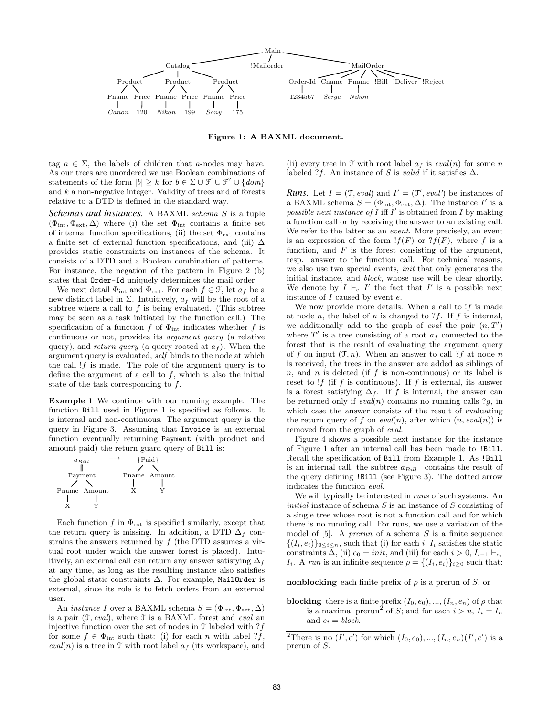

Figure 1: A BAXML document.

tag  $a \in \Sigma$ , the labels of children that a-nodes may have. As our trees are unordered we use Boolean combinations of statements of the form  $|b| \geq k$  for  $b \in \Sigma \cup \mathcal{F}^! \cup \mathcal{F}^? \cup \{dom\}$ and  $k$  a non-negative integer. Validity of trees and of forests relative to a DTD is defined in the standard way.

*Schemas and instances.* A BAXML schema S is a tuple  $(\Phi_{\text{int}}, \Phi_{\text{ext}}, \Delta)$  where (i) the set  $\Phi_{\text{int}}$  contains a finite set of internal function specifications, (ii) the set  $\Phi_{\text{ext}}$  contains a finite set of external function specifications, and (iii)  $\Delta$ provides static constraints on instances of the schema. It consists of a DTD and a Boolean combination of patterns. For instance, the negation of the pattern in Figure 2 (b) states that Order-Id uniquely determines the mail order.

We next detail  $\Phi_{int}$  and  $\Phi_{ext}$ . For each  $f \in \mathcal{F}$ , let  $a_f$  be a new distinct label in Σ. Intuitively,  $a_f$  will be the root of a subtree where a call to  $f$  is being evaluated. (This subtree may be seen as a task initiated by the function call.) The specification of a function f of  $\Phi_{int}$  indicates whether f is continuous or not, provides its argument query (a relative query), and return query (a query rooted at  $a_f$ ). When the argument query is evaluated, self binds to the node at which the call  $!f$  is made. The role of the argument query is to define the argument of a call to  $f$ , which is also the initial state of the task corresponding to f.

Example 1 We continue with our running example. The function Bill used in Figure 1 is specified as follows. It is internal and non-continuous. The argument query is the query in Figure 3. Assuming that Invoice is an external function eventually returning Payment (with product and amount paid) the return guard query of Bill is:



Each function f in  $\Phi_{\text{ext}}$  is specified similarly, except that the return query is missing. In addition, a DTD  $\Delta_f$  constrains the answers returned by  $f$  (the DTD assumes a virtual root under which the answer forest is placed). Intuitively, an external call can return any answer satisfying  $\Delta_f$ at any time, as long as the resulting instance also satisfies the global static constraints  $\Delta$ . For example, MailOrder is external, since its role is to fetch orders from an external user.

An *instance I* over a BAXML schema  $S = (\Phi_{int}, \Phi_{ext}, \Delta)$ is a pair  $(\mathcal{T}, eval)$ , where  $\mathcal{T}$  is a BAXML forest and *eval* an injective function over the set of nodes in  $\mathfrak T$  labeled with  $?f$ for some  $f \in \Phi_{int}$  such that: (i) for each n with label ?f,  $eval(n)$  is a tree in T with root label  $a_f$  (its workspace), and

(ii) every tree in T with root label  $a_f$  is  $eval(n)$  for some n labeled ?f. An instance of S is valid if it satisfies  $\Delta$ .

*Runs.* Let  $I = (\mathcal{T}, eval)$  and  $I' = (\mathcal{T}', eval')$  be instances of a BAXML schema  $S = (\Phi_{int}, \Phi_{ext}, \Delta)$ . The instance I' is a possible next instance of  $I$  iff  $I'$  is obtained from  $I$  by making a function call or by receiving the answer to an existing call. We refer to the latter as an *event*. More precisely, an event is an expression of the form  $!f(F)$  or  $?f(F)$ , where f is a function, and  $F$  is the forest consisting of the argument, resp. answer to the function call. For technical reasons, we also use two special events, init that only generates the initial instance, and block, whose use will be clear shortly. We denote by  $I \vdash_e I'$  the fact that  $I'$  is a possible next instance of  $I$  caused by event  $e$ .

We now provide more details. When a call to  $!f$  is made at node n, the label of n is changed to ?f. If f is internal, we additionally add to the graph of eval the pair  $(n, T')$ where  $T'$  is a tree consisting of a root  $a_f$  connected to the forest that is the result of evaluating the argument query of f on input  $(\mathfrak{T}, n)$ . When an answer to call ?f at node n is received, the trees in the answer are added as siblings of  $n$ , and  $n$  is deleted (if  $f$  is non-continuous) or its label is reset to  $!f$  (if  $f$  is continuous). If  $f$  is external, its answer is a forest satisfying  $\Delta_f$ . If f is internal, the answer can be returned only if  $eval(n)$  contains no running calls ?g, in which case the answer consists of the result of evaluating the return query of f on eval(n), after which  $(n, eval(n))$  is removed from the graph of eval.

Figure 4 shows a possible next instance for the instance of Figure 1 after an internal call has been made to !Bill. Recall the specification of Bill from Example 1. As !Bill is an internal call, the subtree  $a_{Bill}$  contains the result of the query defining !Bill (see Figure 3). The dotted arrow indicates the function eval.

We will typically be interested in runs of such systems. An initial instance of schema  $S$  is an instance of  $S$  consisting of a single tree whose root is not a function call and for which there is no running call. For runs, we use a variation of the model of  $[5]$ . A *prerun* of a schema S is a finite sequence  $\{(I_i, e_i)\}_{0 \leq i \leq n}$ , such that (i) for each i,  $I_i$  satisfies the static constraints  $\Delta$ , (ii)  $e_0 = init$ , and (iii) for each  $i > 0$ ,  $I_{i-1} \vdash_{e_i}$ I<sub>i</sub>. A run is an infinite sequence  $\rho = \{(I_i, e_i)\}_{i \geq 0}$  such that:

nonblocking each finite prefix of  $\rho$  is a prerun of S, or

**blocking** there is a finite prefix  $(I_0, e_0), ..., (I_n, e_n)$  of  $\rho$  that is a maximal prerun<sup>2</sup> of S; and for each  $i > n$ ,  $I_i = I_n$ and  $e_i = block$ .

<sup>&</sup>lt;sup>2</sup>There is no  $(I',e')$  for which  $(I_0,e_0),..., (I_n,e_n)(I',e')$  is a prerun of S.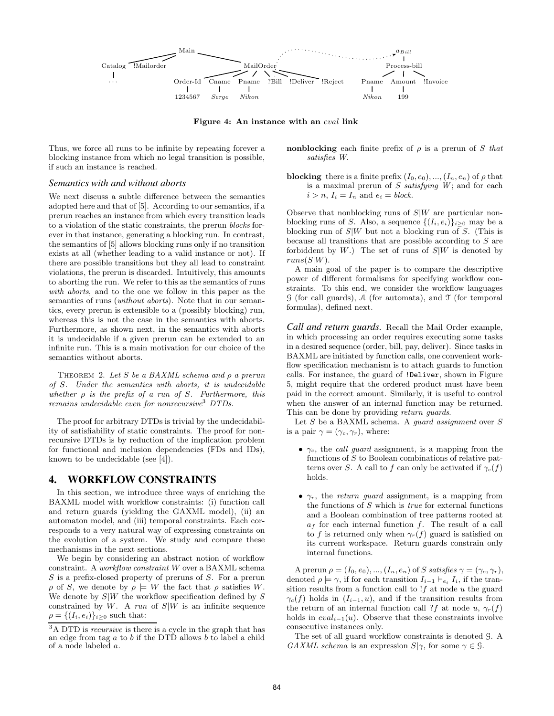

Figure 4: An instance with an eval link

Thus, we force all runs to be infinite by repeating forever a blocking instance from which no legal transition is possible, if such an instance is reached.

#### *Semantics with and without aborts*

We next discuss a subtle difference between the semantics adopted here and that of [5]. According to our semantics, if a prerun reaches an instance from which every transition leads to a violation of the static constraints, the prerun blocks forever in that instance, generating a blocking run. In contrast, the semantics of [5] allows blocking runs only if no transition exists at all (whether leading to a valid instance or not). If there are possible transitions but they all lead to constraint violations, the prerun is discarded. Intuitively, this amounts to aborting the run. We refer to this as the semantics of runs with aborts, and to the one we follow in this paper as the semantics of runs *(without aborts)*. Note that in our semantics, every prerun is extensible to a (possibly blocking) run, whereas this is not the case in the semantics with aborts. Furthermore, as shown next, in the semantics with aborts it is undecidable if a given prerun can be extended to an infinite run. This is a main motivation for our choice of the semantics without aborts.

THEOREM 2. Let S be a BAXML schema and  $\rho$  a prerun of S. Under the semantics with aborts, it is undecidable whether  $\rho$  is the prefix of a run of S. Furthermore, this remains undecidable even for nonrecursive<sup>3</sup> DTDs.

The proof for arbitrary DTDs is trivial by the undecidability of satisfiability of static constraints. The proof for nonrecursive DTDs is by reduction of the implication problem for functional and inclusion dependencies (FDs and IDs), known to be undecidable (see [4]).

## **4. WORKFLOW CONSTRAINTS**

In this section, we introduce three ways of enriching the BAXML model with workflow constraints: (i) function call and return guards (yielding the GAXML model), (ii) an automaton model, and (iii) temporal constraints. Each corresponds to a very natural way of expressing constraints on the evolution of a system. We study and compare these mechanisms in the next sections.

We begin by considering an abstract notion of workflow constraint. A workflow constraint W over a BAXML schema S is a prefix-closed property of preruns of S. For a prerun  $\rho$  of S, we denote by  $\rho \models W$  the fact that  $\rho$  satisfies W. We denote by  $S|W$  the workflow specification defined by S constrained by W. A run of  $S|W$  is an infinite sequence  $\rho = \{ (I_i, e_i) \}_{i \geq 0}$  such that:

- nonblocking each finite prefix of  $\rho$  is a prerun of S that satisfies W.
- **blocking** there is a finite prefix  $(I_0, e_0), ..., (I_n, e_n)$  of  $\rho$  that is a maximal prerun of  $S$  satisfying  $W$ ; and for each  $i > n$ ,  $I_i = I_n$  and  $e_i = block$ .

Observe that nonblocking runs of  $S|W$  are particular nonblocking runs of S. Also, a sequence  $\{(I_i, e_i)\}_{i>0}$  may be a blocking run of  $S|W$  but not a blocking run of S. (This is because all transitions that are possible according to S are forbiddent by  $W$ .) The set of runs of  $S|W$  is denoted by  $runs(S|W)$ .

A main goal of the paper is to compare the descriptive power of different formalisms for specifying workflow constraints. To this end, we consider the workflow languages  $G$  (for call guards),  $A$  (for automata), and  $T$  (for temporal formulas), defined next.

*Call and return guards.* Recall the Mail Order example, in which processing an order requires executing some tasks in a desired sequence (order, bill, pay, deliver). Since tasks in BAXML are initiated by function calls, one convenient workflow specification mechanism is to attach guards to function calls. For instance, the guard of !Deliver, shown in Figure 5, might require that the ordered product must have been paid in the correct amount. Similarly, it is useful to control when the answer of an internal function may be returned. This can be done by providing return guards.

Let  $S$  be a BAXML schema. A *guard assignment* over  $S$ is a pair  $\gamma = (\gamma_c, \gamma_r)$ , where:

- $\gamma_c$ , the *call guard* assignment, is a mapping from the functions of S to Boolean combinations of relative patterns over S. A call to f can only be activated if  $\gamma_c(f)$ holds.
- $\gamma_r$ , the return guard assignment, is a mapping from the functions of  $S$  which is *true* for external functions and a Boolean combination of tree patterns rooted at  $a_f$  for each internal function f. The result of a call to f is returned only when  $\gamma_r(f)$  guard is satisfied on its current workspace. Return guards constrain only internal functions.

A prerun  $\rho = (I_0, e_0), ..., (I_n, e_n)$  of S satisfies  $\gamma = (\gamma_c, \gamma_r),$ denoted  $\rho \models \gamma$ , if for each transition  $I_{i-1} \vdash_{e_i} I_i$ , if the transition results from a function call to  $!f$  at node u the guard  $\gamma_c(f)$  holds in  $(I_{i-1}, u)$ , and if the transition results from the return of an internal function call ?f at node u,  $\gamma_r(f)$ holds in  $eval_{i-1}(u)$ . Observe that these constraints involve consecutive instances only.

The set of all guard workflow constraints is denoted G. A GAXML schema is an expression  $S|\gamma$ , for some  $\gamma \in \mathcal{G}$ .

<sup>&</sup>lt;sup>3</sup>A DTD is *recursive* is there is a cycle in the graph that has an edge from tag  $a$  to  $b$  if the DTD allows  $b$  to label a child of a node labeled a.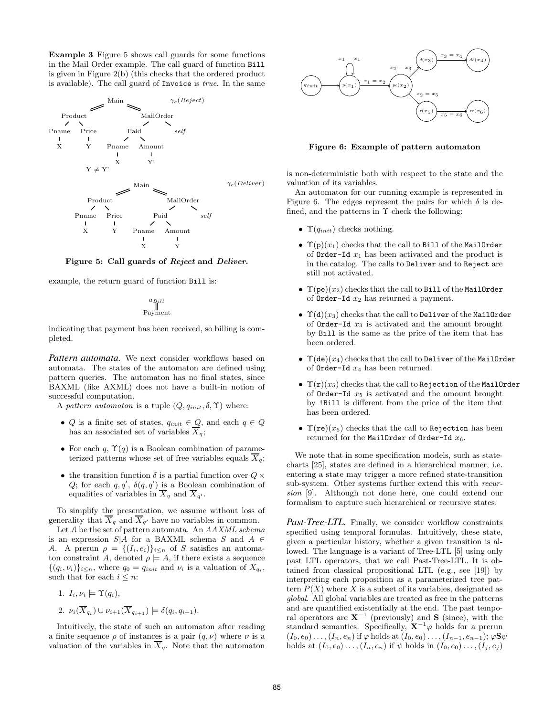Example 3 Figure 5 shows call guards for some functions in the Mail Order example. The call guard of function Bill is given in Figure 2(b) (this checks that the ordered product is available). The call guard of Invoice is true. In the same



Figure 5: Call guards of Reject and Deliver.

example, the return guard of function Bill is:

$$
\prod_{\text{Payment}}^{a_{Bill}}
$$

indicating that payment has been received, so billing is completed.

*Pattern automata.* We next consider workflows based on automata. The states of the automaton are defined using pattern queries. The automaton has no final states, since BAXML (like AXML) does not have a built-in notion of successful computation.

A pattern automaton is a tuple  $(Q, q_{init}, \delta, \Upsilon)$  where:

- Q is a finite set of states,  $q_{init} \in Q$ , and each  $q \in Q$ has an associated set of variables  $\overline{X}_q$ ;
- For each q,  $\Upsilon(q)$  is a Boolean combination of parameterized patterns whose set of free variables equals  $\overline{X}_q$ ;
- the transition function  $\delta$  is a partial function over  $Q \times$ Q; for each  $q, q', \delta(q, q')$  is a Boolean combination of equalities of variables in  $\overline{X}_q$  and  $\overline{X}_{q'}$ .

To simplify the presentation, we assume without loss of generality that  $X_q$  and  $X_{q'}$  have no variables in common.

Let A be the set of pattern automata. An AAXML schema is an expression  $S|A$  for a BAXML schema S and  $A \in$ A. A prerun  $\rho = \{(I_i, e_i)\}_{i \leq n}$  of S satisfies an automaton constraint A, denoted  $\rho \models A$ , if there exists a sequence  $\{(q_i,\nu_i)\}_{i\leq n}$ , where  $q_0 = q_{init}$  and  $\nu_i$  is a valuation of  $X_{q_i}$ , such that for each  $i \leq n$ :

1. 
$$
I_i, \nu_i \models \Upsilon(q_i),
$$
  
\n2.  $\nu_i(\overline{X}_{q_i}) \cup \nu_{i+1}(\overline{X}_{q_{i+1}}) \models \delta(q_i, q_{i+1}).$ 

Intuitively, the state of such an automaton after reading a finite sequence  $\rho$  of instances is a pair  $(q, \nu)$  where  $\nu$  is a valuation of the variables in  $\overline{X}_q$ . Note that the automaton



Figure 6: Example of pattern automaton

is non-deterministic both with respect to the state and the valuation of its variables.

An automaton for our running example is represented in Figure 6. The edges represent the pairs for which  $\delta$  is defined, and the patterns in  $\Upsilon$  check the following:

- $\Upsilon(q_{init})$  checks nothing.
- $\Upsilon(p)(x_1)$  checks that the call to Bill of the MailOrder of  $Order-Id x_1$  has been activated and the product is in the catalog. The calls to Deliver and to Reject are still not activated.
- $\Upsilon(\mathbf{pe})(x_2)$  checks that the call to Bill of the MailOrder of  $Order-Id x_2$  has returned a payment.
- $\Upsilon(d)(x_3)$  checks that the call to Deliver of the MailOrder of  $Order-Id$   $x_3$  is activated and the amount brought by Bill is the same as the price of the item that has been ordered.
- $\Upsilon$ (de)(x<sub>4</sub>) checks that the call to Deliver of the MailOrder of  $Order-Id x_4$  has been returned.
- $\Upsilon(\mathbf{r})(x_5)$  checks that the call to Rejection of the MailOrder of  $Order-Id$   $x_5$  is activated and the amount brought by !Bill is different from the price of the item that has been ordered.
- $\Upsilon(\mathbf{r}\mathbf{e})(x_6)$  checks that the call to Rejection has been returned for the MailOrder of Order-Id  $x_6$ .

We note that in some specification models, such as statecharts [25], states are defined in a hierarchical manner, i.e. entering a state may trigger a more refined state-transition sub-system. Other systems further extend this with recursion [9]. Although not done here, one could extend our formalism to capture such hierarchical or recursive states.

Past-Tree-LTL. Finally, we consider workflow constraints specified using temporal formulas. Intuitively, these state, given a particular history, whether a given transition is allowed. The language is a variant of Tree-LTL [5] using only past LTL operators, that we call Past-Tree-LTL. It is obtained from classical propositional LTL (e.g., see [19]) by interpreting each proposition as a parameterized tree pattern  $P(\bar{X})$  where  $\bar{X}$  is a subset of its variables, designated as global. All global variables are treated as free in the patterns and are quantified existentially at the end. The past temporal operators are  $X^{-1}$  (previously) and S (since), with the standard semantics. Specifically,  $X^{-1}\varphi$  holds for a prerun  $(I_0, e_0) \ldots, (I_n, e_n)$  if  $\varphi$  holds at  $(I_0, e_0) \ldots, (I_{n-1}, e_{n-1}); \varphi S \psi$ holds at  $(I_0, e_0) \ldots, (I_n, e_n)$  if  $\psi$  holds in  $(I_0, e_0) \ldots, (I_j, e_j)$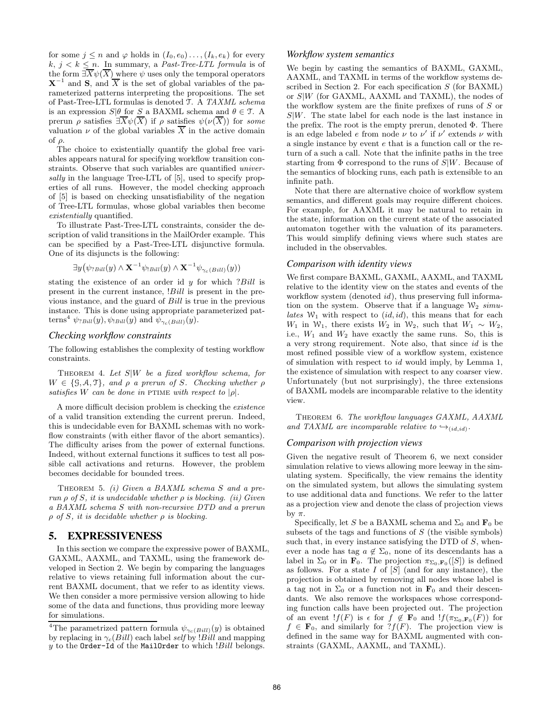for some  $j \leq n$  and  $\varphi$  holds in  $(I_0, e_0) \ldots, (I_k, e_k)$  for every  $k, j \leq k \leq n$ . In summary, a *Past-Tree-LTL formula* is of the form  $\exists \overline{X}\psi(\overline{X})$  where  $\psi$  uses only the temporal operators  $X^{-1}$  and  $S$ , and  $\overline{X}$  is the set of global variables of the parameterized patterns interpreting the propositions. The set of Past-Tree-LTL formulas is denoted T. A TAXML schema is an expression  $S|\theta$  for S a BAXML schema and  $\theta \in \mathcal{T}$ . A prerun  $\rho$  satisfies  $\exists X \psi(X)$  if  $\rho$  satisfies  $\psi(\nu(X))$  for some valuation  $\nu$  of the global variables  $\overline{X}$  in the active domain of ρ.

The choice to existentially quantify the global free variables appears natural for specifying workflow transition constraints. Observe that such variables are quantified universally in the language Tree-LTL of [5], used to specify properties of all runs. However, the model checking approach of [5] is based on checking unsatisfiability of the negation of Tree-LTL formulas, whose global variables then become existentially quantified.

To illustrate Past-Tree-LTL constraints, consider the description of valid transitions in the MailOrder example. This can be specified by a Past-Tree-LTL disjunctive formula. One of its disjuncts is the following:

$$
\exists y \big( \psi_{? \, Bill}(y) \wedge \mathbf{X}^{-1} \psi_{? \, Bill}(y) \wedge \mathbf{X}^{-1} \psi_{\gamma_c(\, Bill)}(y) \big)
$$

stating the existence of an order id  $y$  for which ?Bill is present in the current instance, !Bill is present in the previous instance, and the guard of Bill is true in the previous instance. This is done using appropriate parameterized patterns<sup>4</sup>  $\psi_{?Bill}(y), \psi_{!Bill}(y)$  and  $\psi_{\gamma_c(Bill)}(y)$ .

## *Checking workflow constraints*

The following establishes the complexity of testing workflow constraints.

THEOREM 4. Let  $S|W$  be a fixed workflow schema, for  $W \in \{\mathcal{G}, \mathcal{A}, \mathcal{T}\}\$ , and  $\rho$  a prerun of S. Checking whether  $\rho$ satisfies W can be done in PTIME with respect to  $|\rho|$ .

A more difficult decision problem is checking the existence of a valid transition extending the current prerun. Indeed, this is undecidable even for BAXML schemas with no workflow constraints (with either flavor of the abort semantics). The difficulty arises from the power of external functions. Indeed, without external functions it suffices to test all possible call activations and returns. However, the problem becomes decidable for bounded trees.

Theorem 5. (i) Given a BAXML schema S and a prerun  $ρ$  of  $S$ , it is undecidable whether  $ρ$  is blocking. (ii) Given a BAXML schema S with non-recursive DTD and a prerun  $\rho$  of S, it is decidable whether  $\rho$  is blocking.

## **5. EXPRESSIVENESS**

In this section we compare the expressive power of BAXML, GAXML, AAXML, and TAXML, using the framework developed in Section 2. We begin by comparing the languages relative to views retaining full information about the current BAXML document, that we refer to as identity views. We then consider a more permissive version allowing to hide some of the data and functions, thus providing more leeway for simulations.

#### *Workflow system semantics*

We begin by casting the semantics of BAXML, GAXML, AAXML, and TAXML in terms of the workflow systems described in Section 2. For each specification S (for BAXML) or S|W (for GAXML, AAXML and TAXML), the nodes of the workflow system are the finite prefixes of runs of S or  $S|W$ . The state label for each node is the last instance in the prefix. The root is the empty prerun, denoted  $\Phi$ . There is an edge labeled  $e$  from node  $\nu$  to  $\nu'$  if  $\nu'$  extends  $\nu$  with a single instance by event e that is a function call or the return of a such a call. Note that the infinite paths in the tree starting from  $\Phi$  correspond to the runs of  $S|W$ . Because of the semantics of blocking runs, each path is extensible to an infinite path.

Note that there are alternative choice of workflow system semantics, and different goals may require different choices. For example, for AAXML it may be natural to retain in the state, information on the current state of the associated automaton together with the valuation of its parameters. This would simplify defining views where such states are included in the observables.

#### *Comparison with identity views*

We first compare BAXML, GAXML, AAXML, and TAXML relative to the identity view on the states and events of the workflow system (denoted *id*), thus preserving full information on the system. Observe that if a language  $W_2$  simu*lates*  $W_1$  with respect to  $(id, id)$ , this means that for each  $W_1$  in W<sub>1</sub>, there exists  $W_2$  in W<sub>2</sub>, such that  $W_1 \sim W_2$ , i.e.,  $W_1$  and  $W_2$  have exactly the same runs. So, this is a very strong requirement. Note also, that since id is the most refined possible view of a workflow system, existence of simulation with respect to id would imply, by Lemma 1, the existence of simulation with respect to any coarser view. Unfortunately (but not surprisingly), the three extensions of BAXML models are incomparable relative to the identity view.

Theorem 6. The workflow languages GAXML, AAXML and TAXML are incomparable relative to  $\hookrightarrow_{(id,id)}$ .

#### *Comparison with projection views*

Given the negative result of Theorem 6, we next consider simulation relative to views allowing more leeway in the simulating system. Specifically, the view remains the identity on the simulated system, but allows the simulating system to use additional data and functions. We refer to the latter as a projection view and denote the class of projection views by  $\pi$ .

Specifically, let S be a BAXML schema and  $\Sigma_0$  and  $\mathbf{F}_0$  be subsets of the tags and functions of  $S$  (the visible symbols) such that, in every instance satisfying the DTD of  $S$ , whenever a node has tag  $a \notin \Sigma_0$ , none of its descendants has a label in  $\Sigma_0$  or in  $\mathbf{F}_0$ . The projection  $\pi_{\Sigma_0,\mathbf{F}_0}([S])$  is defined as follows. For a state  $I$  of  $[S]$  (and for any instance), the projection is obtained by removing all nodes whose label is a tag not in  $\Sigma_0$  or a function not in  $\mathbf{F}_0$  and their descendants. We also remove the workspaces whose corresponding function calls have been projected out. The projection of an event  $!f(F)$  is  $\epsilon$  for  $f \notin \mathbf{F}_0$  and  $!f(\pi_{\Sigma_0,\mathbf{F}_0}(F))$  for  $f \in \mathbf{F}_0$ , and similarly for ? $f(F)$ . The projection view is defined in the same way for BAXML augmented with constraints (GAXML, AAXML, and TAXML).

<sup>&</sup>lt;sup>4</sup>The parametrized pattern formula  $\psi_{\gamma_c(Bill)}(y)$  is obtained by replacing in  $\gamma_c(Bill)$  each label self by !Bill and mapping  $y$  to the Order-Id of the MailOrder to which !Bill belongs.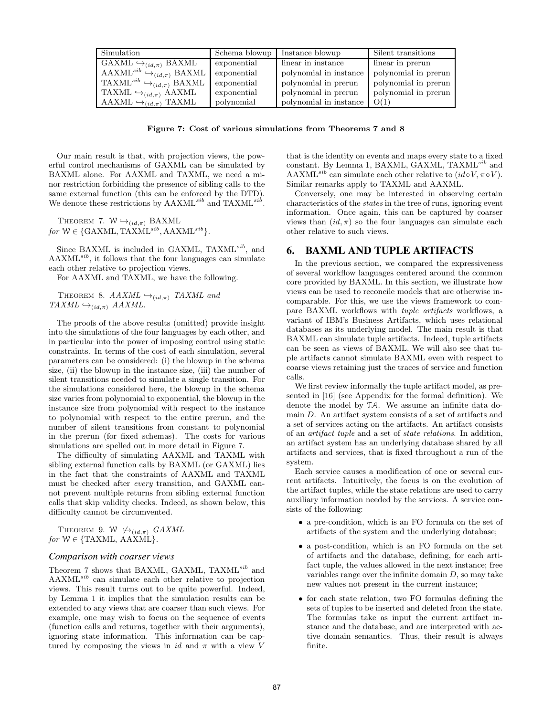| Simulation                                                   | Schema blowup | Instance blowup        | Silent transitions   |
|--------------------------------------------------------------|---------------|------------------------|----------------------|
| $GAXML \hookrightarrow (id,\pi) BAXML$                       | exponential   | linear in instance     | linear in prerun     |
| $AAXMLsib \hookrightarrow_{(id,\pi)} BAXML$                  | exponential   | polynomial in instance | polynomial in prerun |
| $\text{TAXML}^{sib} \hookrightarrow_{(id,\pi)} \text{BAXML}$ | exponential   | polynomial in prerun   | polynomial in prerun |
| TAXML $\hookrightarrow_{(id,\pi)}$ AAXML                     | exponential   | polynomial in prerun   | polynomial in prerun |
| AAXML $\hookrightarrow_{(id,\pi)}$ TAXML                     | polynomial    | polynomial in instance | O(1)                 |

Figure 7: Cost of various simulations from Theorems 7 and 8

Our main result is that, with projection views, the powerful control mechanisms of GAXML can be simulated by BAXML alone. For AAXML and TAXML, we need a minor restriction forbidding the presence of sibling calls to the same external function (this can be enforced by the DTD). We denote these restrictions by  $AAXML^{sib}$  and  $TAXML^{sib}$ .

THEOREM 7.  $W \hookrightarrow_{(id,\pi)} \text{BAXML}$  $for \ W \in \{\text{GAXML}, \text{TAXML}^{sib}, \text{AAXML}^{sib}\}.$ 

Since BAXML is included in GAXML,  $TAXML^{sib}$ , and  $AAXML<sup>sib</sup>$ , it follows that the four languages can simulate each other relative to projection views.

For AAXML and TAXML, we have the following.

THEOREM 8.  $AAXML \hookrightarrow_{(id,\pi)} TAXML$  and  $TAXML \hookrightarrow_{(id,\pi)} AAXML$ .

The proofs of the above results (omitted) provide insight into the simulations of the four languages by each other, and in particular into the power of imposing control using static constraints. In terms of the cost of each simulation, several parameters can be considered: (i) the blowup in the schema size, (ii) the blowup in the instance size, (iii) the number of silent transitions needed to simulate a single transition. For the simulations considered here, the blowup in the schema size varies from polynomial to exponential, the blowup in the instance size from polynomial with respect to the instance to polynomial with respect to the entire prerun, and the number of silent transitions from constant to polynomial in the prerun (for fixed schemas). The costs for various simulations are spelled out in more detail in Figure 7.

The difficulty of simulating AAXML and TAXML with sibling external function calls by BAXML (or GAXML) lies in the fact that the constraints of AAXML and TAXML must be checked after every transition, and GAXML cannot prevent multiple returns from sibling external function calls that skip validity checks. Indeed, as shown below, this difficulty cannot be circumvented.

THEOREM 9. W  $\not\leftrightarrow_{(id,\pi)} GAXML$  $for W \in \{TAXML, AAXML\}.$ 

#### *Comparison with coarser views*

Theorem 7 shows that BAXML, GAXML, TAXML<sup>sib</sup> and  ${\rm AAXML}^{sib}$  can simulate each other relative to projection views. This result turns out to be quite powerful. Indeed, by Lemma 1 it implies that the simulation results can be extended to any views that are coarser than such views. For example, one may wish to focus on the sequence of events (function calls and returns, together with their arguments), ignoring state information. This information can be captured by composing the views in id and  $\pi$  with a view V

that is the identity on events and maps every state to a fixed constant. By Lemma 1, BAXML, GAXML, TAXML<sup>sib</sup> and AAXML<sup>sib</sup> can simulate each other relative to  $(id \circ V, \pi \circ V)$ . Similar remarks apply to TAXML and AAXML.

Conversely, one may be interested in observing certain characteristics of the states in the tree of runs, ignoring event information. Once again, this can be captured by coarser views than  $(id, \pi)$  so the four languages can simulate each other relative to such views.

## **6. BAXML AND TUPLE ARTIFACTS**

In the previous section, we compared the expressiveness of several workflow languages centered around the common core provided by BAXML. In this section, we illustrate how views can be used to reconcile models that are otherwise incomparable. For this, we use the views framework to compare BAXML workflows with tuple artifacts workflows, a variant of IBM's Business Artifacts, which uses relational databases as its underlying model. The main result is that BAXML can simulate tuple artifacts. Indeed, tuple artifacts can be seen as views of BAXML. We will also see that tuple artifacts cannot simulate BAXML even with respect to coarse views retaining just the traces of service and function calls.

We first review informally the tuple artifact model, as presented in [16] (see Appendix for the formal definition). We denote the model by TA. We assume an infinite data domain D. An artifact system consists of a set of artifacts and a set of services acting on the artifacts. An artifact consists of an artifact tuple and a set of state relations. In addition, an artifact system has an underlying database shared by all artifacts and services, that is fixed throughout a run of the system.

Each service causes a modification of one or several current artifacts. Intuitively, the focus is on the evolution of the artifact tuples, while the state relations are used to carry auxiliary information needed by the services. A service consists of the following:

- a pre-condition, which is an FO formula on the set of artifacts of the system and the underlying database;
- a post-condition, which is an FO formula on the set of artifacts and the database, defining, for each artifact tuple, the values allowed in the next instance; free variables range over the infinite domain  $D$ , so may take new values not present in the current instance;
- for each state relation, two FO formulas defining the sets of tuples to be inserted and deleted from the state. The formulas take as input the current artifact instance and the database, and are interpreted with active domain semantics. Thus, their result is always finite.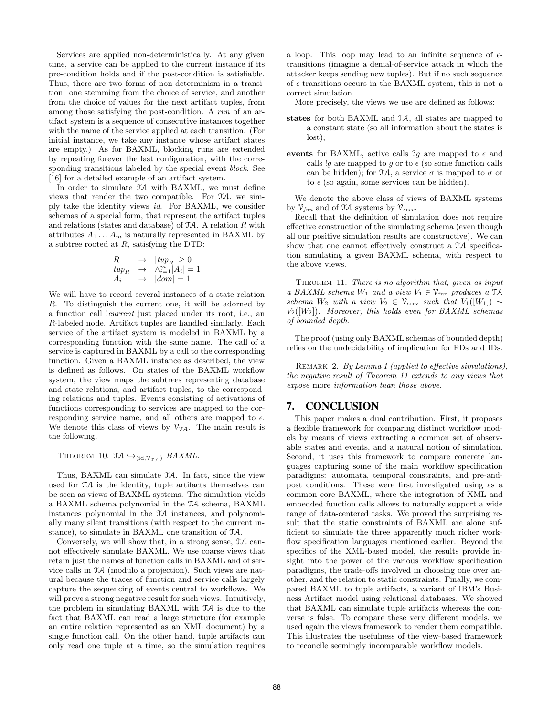Services are applied non-deterministically. At any given time, a service can be applied to the current instance if its pre-condition holds and if the post-condition is satisfiable. Thus, there are two forms of non-determinism in a transition: one stemming from the choice of service, and another from the choice of values for the next artifact tuples, from among those satisfying the post-condition. A run of an artifact system is a sequence of consecutive instances together with the name of the service applied at each transition. (For initial instance, we take any instance whose artifact states are empty.) As for BAXML, blocking runs are extended by repeating forever the last configuration, with the corresponding transitions labeled by the special event *block*. See [16] for a detailed example of an artifact system.

In order to simulate TA with BAXML, we must define views that render the two compatible. For TA, we simply take the identity views id. For BAXML, we consider schemas of a special form, that represent the artifact tuples and relations (states and database) of  $TA$ . A relation R with attributes  $A_1 \ldots A_m$  is naturally represented in BAXML by a subtree rooted at  $R$ , satisfying the DTD:

$$
\begin{array}{ccc} R & \rightarrow & |twp_R| \geq 0 \\ tup_R & \rightarrow & \wedge_{i=1}^{m}|A_i| = 1 \\ A_i & \rightarrow & |dom| = 1 \end{array}
$$

We will have to record several instances of a state relation R. To distinguish the current one, it will be adorned by a function call !current just placed under its root, i.e., an R-labeled node. Artifact tuples are handled similarly. Each service of the artifact system is modeled in BAXML by a corresponding function with the same name. The call of a service is captured in BAXML by a call to the corresponding function. Given a BAXML instance as described, the view is defined as follows. On states of the BAXML workflow system, the view maps the subtrees representing database and state relations, and artifact tuples, to the corresponding relations and tuples. Events consisting of activations of functions corresponding to services are mapped to the corresponding service name, and all others are mapped to  $\epsilon$ . We denote this class of views by  $\mathcal{V}_{\mathcal{TA}}$ . The main result is the following.

THEOREM 10.  $\mathcal{TA} \hookrightarrow_{(\text{id},\mathcal{V}_{\tau,4})} BAXML$ .

Thus, BAXML can simulate TA. In fact, since the view used for TA is the identity, tuple artifacts themselves can be seen as views of BAXML systems. The simulation yields a BAXML schema polynomial in the TA schema, BAXML instances polynomial in the TA instances, and polynomially many silent transitions (with respect to the current instance), to simulate in BAXML one transition of TA.

Conversely, we will show that, in a strong sense, TA cannot effectively simulate BAXML. We use coarse views that retain just the names of function calls in BAXML and of service calls in TA (modulo a projection). Such views are natural because the traces of function and service calls largely capture the sequencing of events central to workflows. We will prove a strong negative result for such views. Intuitively, the problem in simulating BAXML with TA is due to the fact that BAXML can read a large structure (for example an entire relation represented as an XML document) by a single function call. On the other hand, tuple artifacts can only read one tuple at a time, so the simulation requires a loop. This loop may lead to an infinite sequence of  $\epsilon$ transitions (imagine a denial-of-service attack in which the attacker keeps sending new tuples). But if no such sequence of  $\epsilon$ -transitions occurs in the BAXML system, this is not a correct simulation.

More precisely, the views we use are defined as follows:

- states for both BAXML and TA, all states are mapped to a constant state (so all information about the states is lost);
- events for BAXML, active calls ?g are mapped to  $\epsilon$  and calls !g are mapped to g or to  $\epsilon$  (so some function calls can be hidden); for  $TA$ , a service  $\sigma$  is mapped to  $\sigma$  or to  $\epsilon$  (so again, some services can be hidden).

We denote the above class of views of BAXML systems by  $\mathcal{V}_{\text{fun}}$  and of  $\mathcal{TA}$  systems by  $\mathcal{V}_{\text{serv}}$ .

Recall that the definition of simulation does not require effective construction of the simulating schema (even though all our positive simulation results are constructive). We can show that one cannot effectively construct a TA specification simulating a given BAXML schema, with respect to the above views.

THEOREM 11. There is no algorithm that, given as input a BAXML schema  $W_1$  and a view  $V_1 \in \mathcal{V}_{\text{fun}}$  produces a TA schema  $W_2$  with a view  $V_2 \in \mathcal{V}_{\text{serv}}$  such that  $V_1([W_1]) \sim$  $V_2([W_2])$ . Moreover, this holds even for BAXML schemas of bounded depth.

The proof (using only BAXML schemas of bounded depth) relies on the undecidability of implication for FDs and IDs.

REMARK 2. By Lemma 1 (applied to effective simulations), the negative result of Theorem 11 extends to any views that expose more information than those above.

# **7. CONCLUSION**

This paper makes a dual contribution. First, it proposes a flexible framework for comparing distinct workflow models by means of views extracting a common set of observable states and events, and a natural notion of simulation. Second, it uses this framework to compare concrete languages capturing some of the main workflow specification paradigms: automata, temporal constraints, and pre-andpost conditions. These were first investigated using as a common core BAXML, where the integration of XML and embedded function calls allows to naturally support a wide range of data-centered tasks. We proved the surprising result that the static constraints of BAXML are alone sufficient to simulate the three apparently much richer workflow specification languages mentioned earlier. Beyond the specifics of the XML-based model, the results provide insight into the power of the various workflow specification paradigms, the trade-offs involved in choosing one over another, and the relation to static constraints. Finally, we compared BAXML to tuple artifacts, a variant of IBM's Business Artifact model using relational databases. We showed that BAXML can simulate tuple artifacts whereas the converse is false. To compare these very different models, we used again the views framework to render them compatible. This illustrates the usefulness of the view-based framework to reconcile seemingly incomparable workflow models.